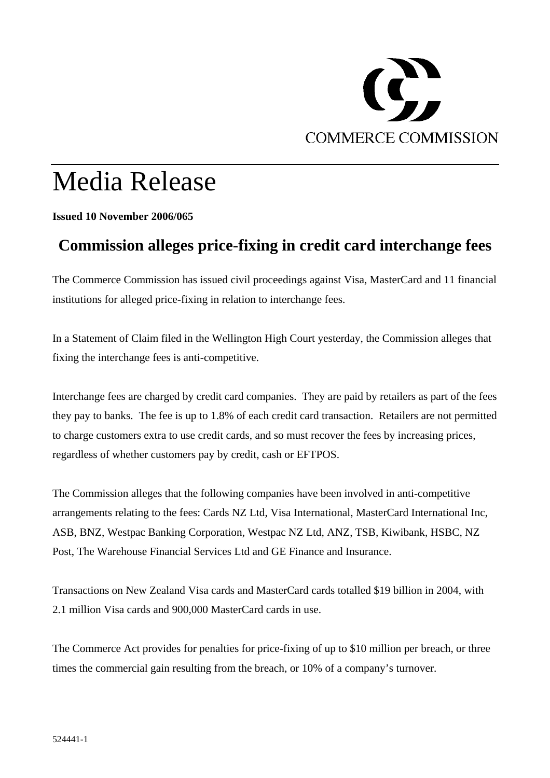

## Media Release

**Issued 10 November 2006/065** 

## **Commission alleges price-fixing in credit card interchange fees**

The Commerce Commission has issued civil proceedings against Visa, MasterCard and 11 financial institutions for alleged price-fixing in relation to interchange fees.

In a Statement of Claim filed in the Wellington High Court yesterday, the Commission alleges that fixing the interchange fees is anti-competitive.

Interchange fees are charged by credit card companies. They are paid by retailers as part of the fees they pay to banks. The fee is up to 1.8% of each credit card transaction. Retailers are not permitted to charge customers extra to use credit cards, and so must recover the fees by increasing prices, regardless of whether customers pay by credit, cash or EFTPOS.

The Commission alleges that the following companies have been involved in anti-competitive arrangements relating to the fees: Cards NZ Ltd, Visa International, MasterCard International Inc, ASB, BNZ, Westpac Banking Corporation, Westpac NZ Ltd, ANZ, TSB, Kiwibank, HSBC, NZ Post, The Warehouse Financial Services Ltd and GE Finance and Insurance.

Transactions on New Zealand Visa cards and MasterCard cards totalled \$19 billion in 2004, with 2.1 million Visa cards and 900,000 MasterCard cards in use.

The Commerce Act provides for penalties for price-fixing of up to \$10 million per breach, or three times the commercial gain resulting from the breach, or 10% of a company's turnover.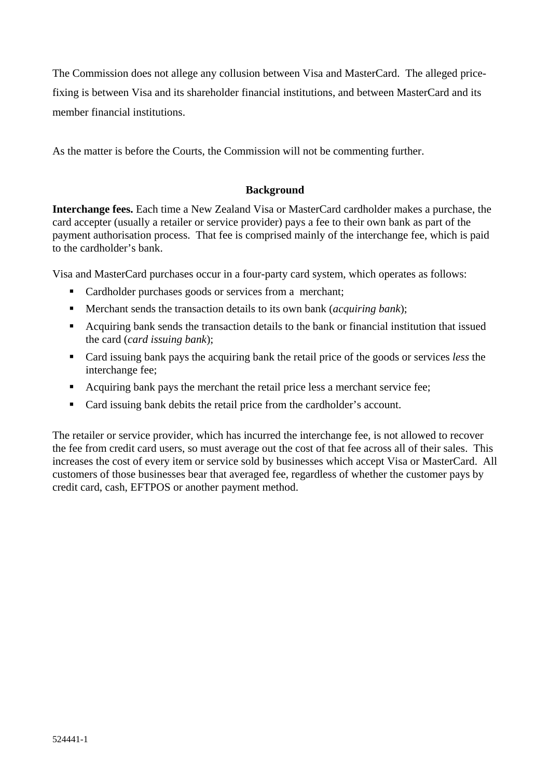The Commission does not allege any collusion between Visa and MasterCard. The alleged pricefixing is between Visa and its shareholder financial institutions, and between MasterCard and its member financial institutions.

As the matter is before the Courts, the Commission will not be commenting further.

## **Background**

**Interchange fees.** Each time a New Zealand Visa or MasterCard cardholder makes a purchase, the card accepter (usually a retailer or service provider) pays a fee to their own bank as part of the payment authorisation process. That fee is comprised mainly of the interchange fee, which is paid to the cardholder's bank.

Visa and MasterCard purchases occur in a four-party card system, which operates as follows:

- Cardholder purchases goods or services from a merchant;
- Merchant sends the transaction details to its own bank (*acquiring bank*);
- Acquiring bank sends the transaction details to the bank or financial institution that issued the card (*card issuing bank*);
- Card issuing bank pays the acquiring bank the retail price of the goods or services *less* the interchange fee;
- Acquiring bank pays the merchant the retail price less a merchant service fee;
- Card issuing bank debits the retail price from the cardholder's account.

The retailer or service provider, which has incurred the interchange fee, is not allowed to recover the fee from credit card users, so must average out the cost of that fee across all of their sales. This increases the cost of every item or service sold by businesses which accept Visa or MasterCard. All customers of those businesses bear that averaged fee, regardless of whether the customer pays by credit card, cash, EFTPOS or another payment method.